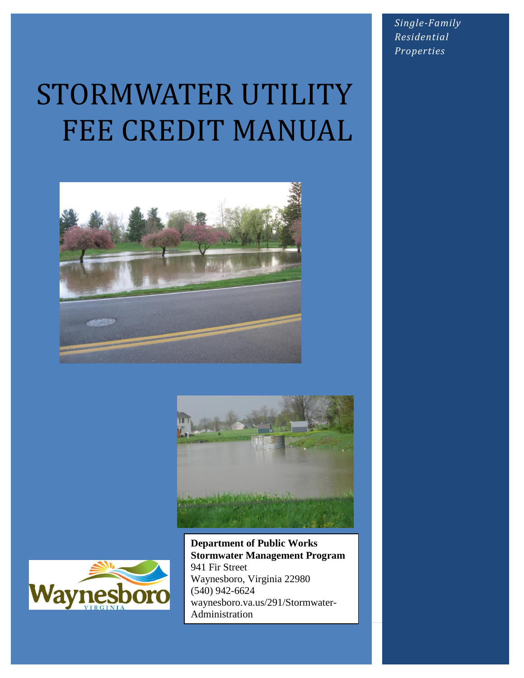STORMWATER UTILITY FEE CREDIT MANUAL







**Department of Public Works Stormwater Management Program** 941 Fir Street Waynesboro, Virginia 22980 (540) 942-6624 waynesboro.va.us/291/Stormwater-Administration

*Single-Family Residential Properties*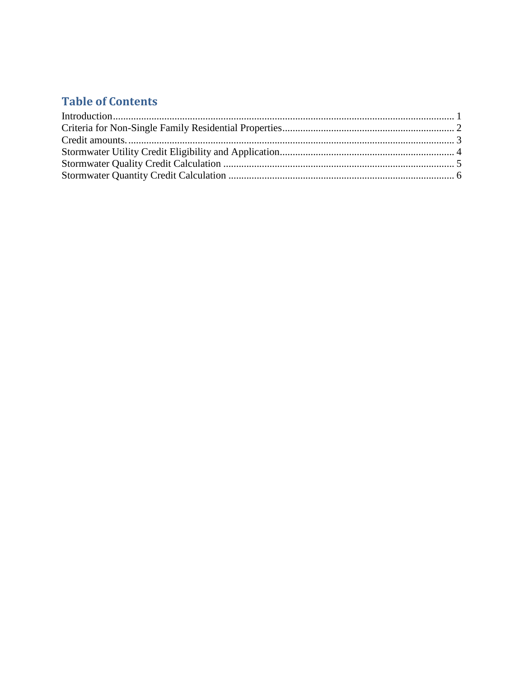### **Table of Contents**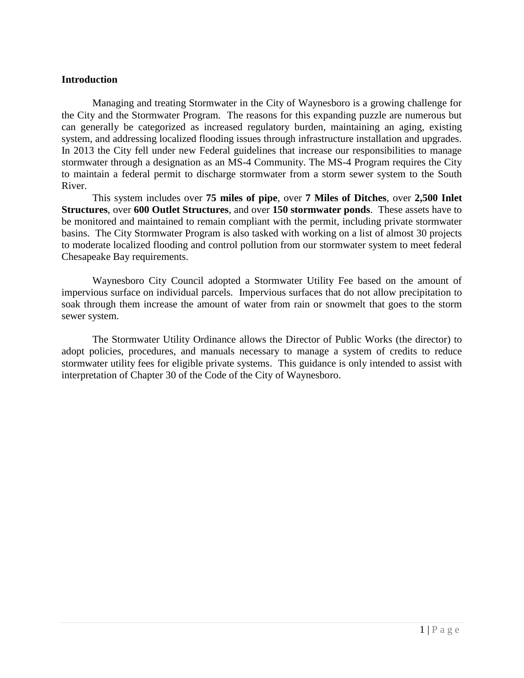#### <span id="page-2-0"></span>**Introduction**

Managing and treating Stormwater in the City of Waynesboro is a growing challenge for the City and the Stormwater Program. The reasons for this expanding puzzle are numerous but can generally be categorized as increased regulatory burden, maintaining an aging, existing system, and addressing localized flooding issues through infrastructure installation and upgrades. In 2013 the City fell under new Federal guidelines that increase our responsibilities to manage stormwater through a designation as an MS-4 Community. The MS-4 Program requires the City to maintain a federal permit to discharge stormwater from a storm sewer system to the South River.

This system includes over **75 miles of pipe**, over **7 Miles of Ditches**, over **2,500 Inlet Structures**, over **600 Outlet Structures**, and over **150 stormwater ponds**. These assets have to be monitored and maintained to remain compliant with the permit, including private stormwater basins. The City Stormwater Program is also tasked with working on a list of almost 30 projects to moderate localized flooding and control pollution from our stormwater system to meet federal Chesapeake Bay requirements.

Waynesboro City Council adopted a Stormwater Utility Fee based on the amount of impervious surface on individual parcels. Impervious surfaces that do not allow precipitation to soak through them increase the amount of water from rain or snowmelt that goes to the storm sewer system.

The Stormwater Utility Ordinance allows the Director of Public Works (the director) to adopt policies, procedures, and manuals necessary to manage a system of credits to reduce stormwater utility fees for eligible private systems. This guidance is only intended to assist with interpretation of Chapter 30 of the Code of the City of Waynesboro.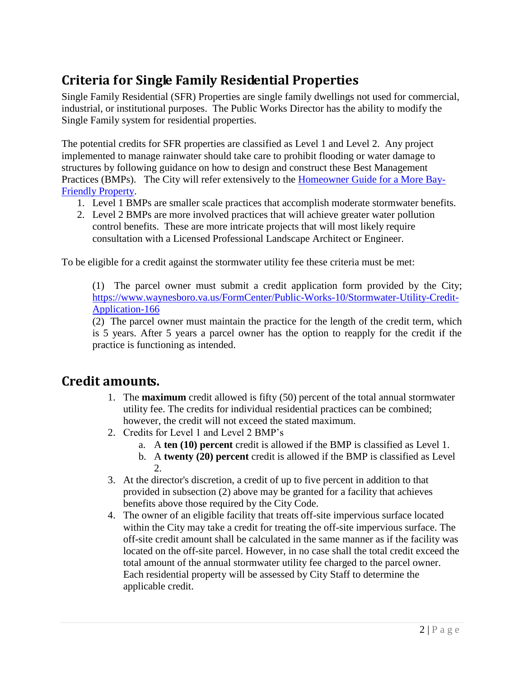# <span id="page-3-0"></span>**Criteria for Single Family Residential Properties**

Single Family Residential (SFR) Properties are single family dwellings not used for commercial, industrial, or institutional purposes. The Public Works Director has the ability to modify the Single Family system for residential properties.

The potential credits for SFR properties are classified as Level 1 and Level 2. Any project implemented to manage rainwater should take care to prohibit flooding or water damage to structures by following guidance on how to design and construct these Best Management Practices (BMPs). The City will refer extensively to the [Homeowner Guide for a More Bay-](http://chesapeakestormwater.net/wp-content/uploads/dlm_uploads/2013/04/Homeowner-Guide.pdf)[Friendly Property.](http://chesapeakestormwater.net/wp-content/uploads/dlm_uploads/2013/04/Homeowner-Guide.pdf)

- 1. Level 1 BMPs are smaller scale practices that accomplish moderate stormwater benefits.
- 2. Level 2 BMPs are more involved practices that will achieve greater water pollution control benefits. These are more intricate projects that will most likely require consultation with a Licensed Professional Landscape Architect or Engineer.

To be eligible for a credit against the stormwater utility fee these criteria must be met:

(1) The parcel owner must submit a credit application form provided by the City; [https://www.waynesboro.va.us/FormCenter/Public-Works-10/Stormwater-Utility-Credit-](https://www.waynesboro.va.us/FormCenter/Public-Works-10/Stormwater-Utility-Credit-Application-166)[Application-166](https://www.waynesboro.va.us/FormCenter/Public-Works-10/Stormwater-Utility-Credit-Application-166)

(2) The parcel owner must maintain the practice for the length of the credit term, which is 5 years. After 5 years a parcel owner has the option to reapply for the credit if the practice is functioning as intended.

### <span id="page-3-1"></span>**Credit amounts.**

- 1. The **maximum** credit allowed is fifty (50) percent of the total annual stormwater utility fee. The credits for individual residential practices can be combined; however, the credit will not exceed the stated maximum.
- 2. Credits for Level 1 and Level 2 BMP's
	- a. A **ten (10) percent** credit is allowed if the BMP is classified as Level 1.
	- b. A **twenty (20) percent** credit is allowed if the BMP is classified as Level  $2<sub>1</sub>$
- 3. At the director's discretion, a credit of up to five percent in addition to that provided in subsection (2) above may be granted for a facility that achieves benefits above those required by the City Code.
- 4. The owner of an eligible facility that treats off-site impervious surface located within the City may take a credit for treating the off-site impervious surface. The off-site credit amount shall be calculated in the same manner as if the facility was located on the off-site parcel. However, in no case shall the total credit exceed the total amount of the annual stormwater utility fee charged to the parcel owner. Each residential property will be assessed by City Staff to determine the applicable credit.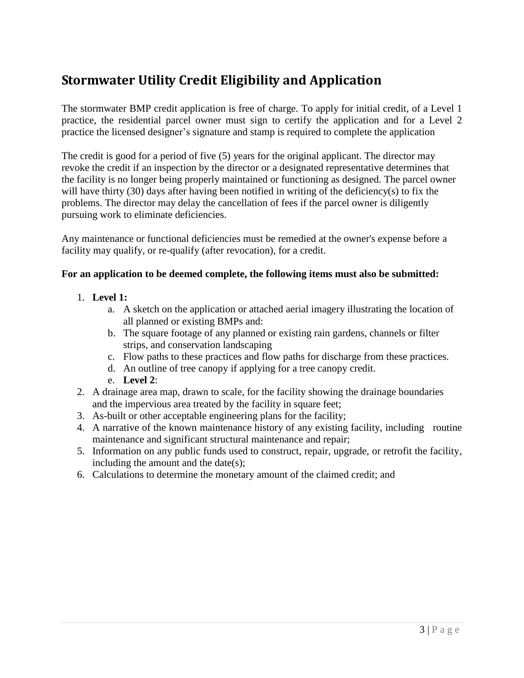## <span id="page-4-0"></span>**Stormwater Utility Credit Eligibility and Application**

The stormwater BMP credit application is free of charge. To apply for initial credit, of a Level 1 practice, the residential parcel owner must sign to certify the application and for a Level 2 practice the licensed designer's signature and stamp is required to complete the application

The credit is good for a period of five (5) years for the original applicant. The director may revoke the credit if an inspection by the director or a designated representative determines that the facility is no longer being properly maintained or functioning as designed. The parcel owner will have thirty (30) days after having been notified in writing of the deficiency(s) to fix the problems. The director may delay the cancellation of fees if the parcel owner is diligently pursuing work to eliminate deficiencies.

Any maintenance or functional deficiencies must be remedied at the owner's expense before a facility may qualify, or re-qualify (after revocation), for a credit.

#### **For an application to be deemed complete, the following items must also be submitted:**

- 1. **Level 1:**
	- a. A sketch on the application or attached aerial imagery illustrating the location of all planned or existing BMPs and:
	- b. The square footage of any planned or existing rain gardens, channels or filter strips, and conservation landscaping
	- c. Flow paths to these practices and flow paths for discharge from these practices.
	- d. An outline of tree canopy if applying for a tree canopy credit.
	- e. **Level 2**:
- 2. A drainage area map, drawn to scale, for the facility showing the drainage boundaries and the impervious area treated by the facility in square feet;
- 3. As-built or other acceptable engineering plans for the facility;
- 4. A narrative of the known maintenance history of any existing facility, including routine maintenance and significant structural maintenance and repair;
- 5. Information on any public funds used to construct, repair, upgrade, or retrofit the facility, including the amount and the date(s);
- 6. Calculations to determine the monetary amount of the claimed credit; and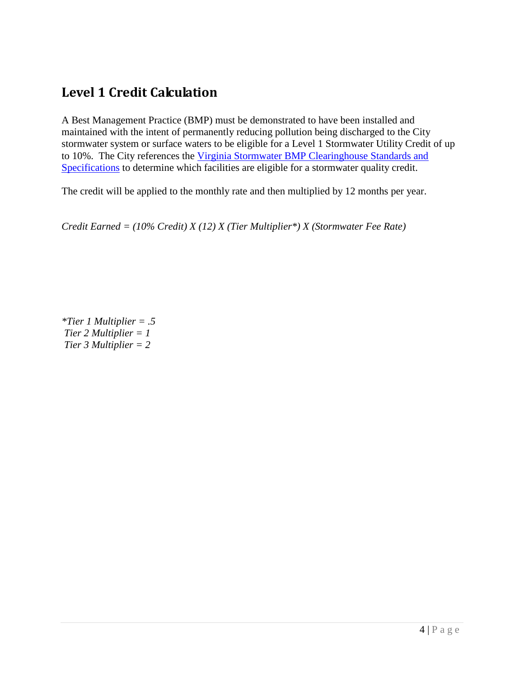### <span id="page-5-0"></span>**Level 1 Credit Calculation**

A Best Management Practice (BMP) must be demonstrated to have been installed and maintained with the intent of permanently reducing pollution being discharged to the City stormwater system or surface waters to be eligible for a Level 1 Stormwater Utility Credit of up to 10%. The City references the [Virginia Stormwater BMP Clearinghouse Standards and](https://swbmp.vwrrc.vt.edu/)  [Specifications](https://swbmp.vwrrc.vt.edu/) to determine which facilities are eligible for a stormwater quality credit.

The credit will be applied to the monthly rate and then multiplied by 12 months per year.

*Credit Earned = (10% Credit) X (12) X (Tier Multiplier\*) X (Stormwater Fee Rate)*

*\*Tier 1 Multiplier = .5 Tier 2 Multiplier = 1 Tier 3 Multiplier = 2*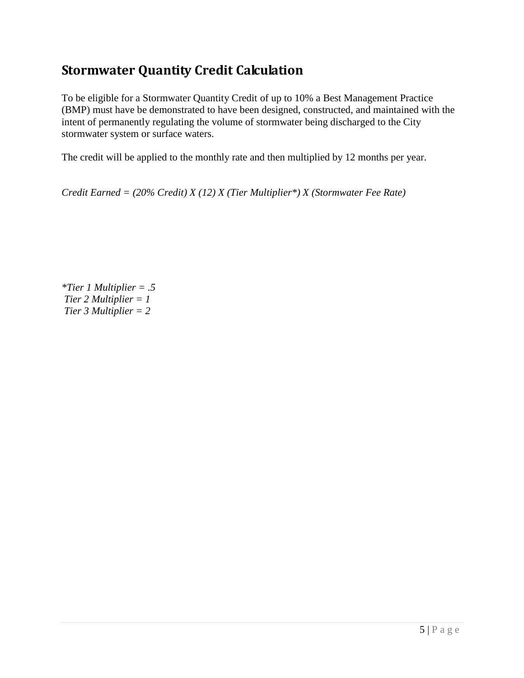### <span id="page-6-0"></span>**Stormwater Quantity Credit Calculation**

To be eligible for a Stormwater Quantity Credit of up to 10% a Best Management Practice (BMP) must have be demonstrated to have been designed, constructed, and maintained with the intent of permanently regulating the volume of stormwater being discharged to the City stormwater system or surface waters.

The credit will be applied to the monthly rate and then multiplied by 12 months per year.

*Credit Earned = (20% Credit) X (12) X (Tier Multiplier\*) X (Stormwater Fee Rate)*

*\*Tier 1 Multiplier = .5 Tier 2 Multiplier = 1 Tier 3 Multiplier = 2*